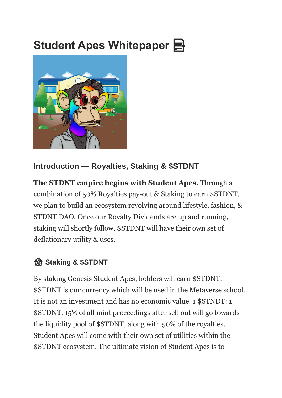# **Student Apes Whitepaper**



#### **Introduction — Royalties, Staking & \$STDNT**

**The STDNT empire begins with Student Apes.** Through a combination of 50% Royalties pay-out & Staking to earn \$STDNT, we plan to build an ecosystem revolving around lifestyle, fashion, & STDNT DAO. Once our Royalty Dividends are up and running, staking will shortly follow. \$STDNT will have their own set of deflationary utility & uses.

## ️ **Staking & \$STDNT**

By staking Genesis Student Apes, holders will earn \$STDNT. \$STDNT is our currency which will be used in the Metaverse school. It is not an investment and has no economic value. 1 \$STNDT: 1 \$STDNT. 15% of all mint proceedings after sell out will go towards the liquidity pool of \$STDNT, along with 50% of the royalties. Student Apes will come with their own set of utilities within the \$STDNT ecosystem. The ultimate vision of Student Apes is to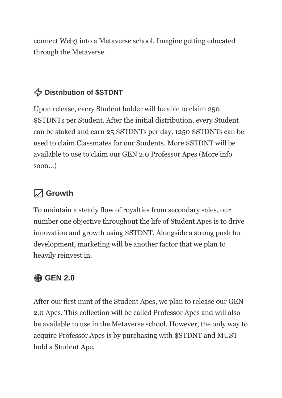connect Web3 into a Metaverse school. Imagine getting educated through the Metaverse.

## ⚡️ **Distribution of \$STDNT**

Upon release, every Student holder will be able to claim 250 \$STDNTs per Student. After the initial distribution, every Student can be staked and earn 25 \$STDNTs per day. 1250 \$STDNTs can be used to claim Classmates for our Students. More \$STDNT will be available to use to claim our GEN 2.0 Professor Apes (More info soon...)

## **Growth**

To maintain a steady flow of royalties from secondary sales, our number one objective throughout the life of Student Apes is to drive innovation and growth using \$STDNT. Alongside a strong push for development, marketing will be another factor that we plan to heavily reinvest in.

## **GEN 2.0**

After our first mint of the Student Apes, we plan to release our GEN 2.0 Apes. This collection will be called Professor Apes and will also be available to use in the Metaverse school. However, the only way to acquire Professor Apes is by purchasing with \$STDNT and MUST hold a Student Ape.